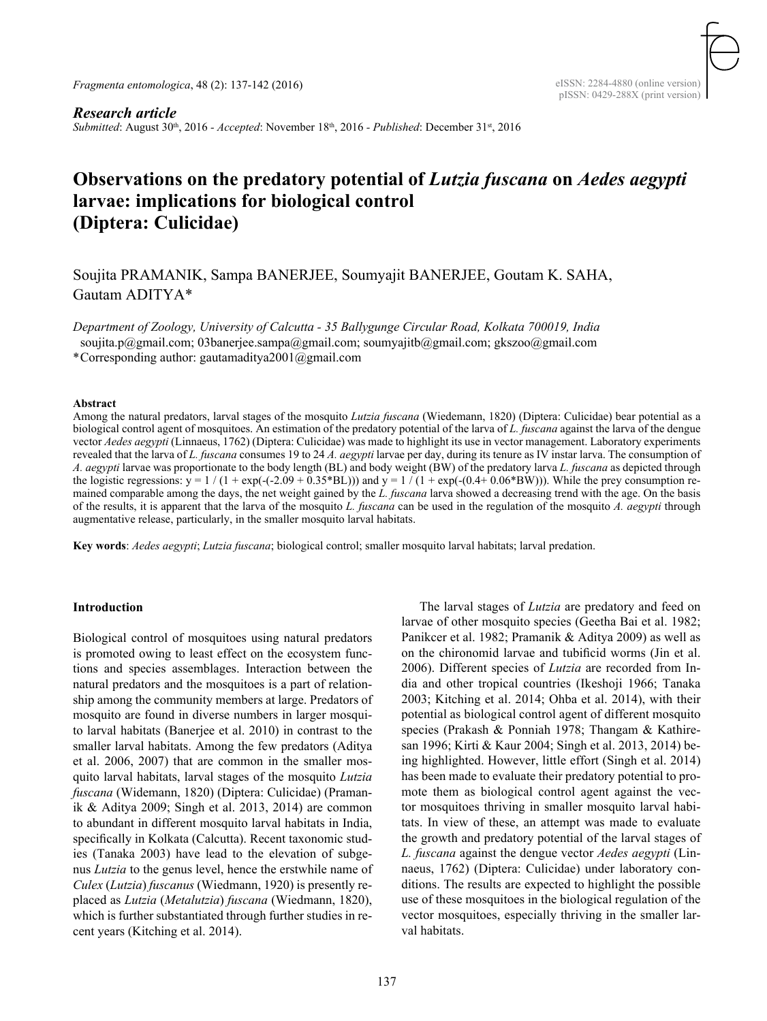*Fragmenta entomologica*, 48 (2): 137-142 (2016)

*Research article Submitted*: August 30th, 2016 *- Accepted*: November 18th, 2016 *- Published*: December 31st, 2016

# **Observations on the predatory potential of** *Lutzia fuscana* **on** *Aedes aegypti*  **larvae: implications for biological control (Diptera: Culicidae)**

Soujita Pramanik, Sampa Banerjee, Soumyajit Banerjee, Goutam K. Saha, Gautam ADITYA\*

*Department of Zoology, University of Calcutta - 35 Ballygunge Circular Road, Kolkata 700019, India*

soujita.p@gmail.com; 03banerjee.sampa@gmail.com; soumyajitb@gmail.com; gkszoo@gmail.com

\*Corresponding author: gautamaditya2001@gmail.com

#### **Abstract**

Among the natural predators, larval stages of the mosquito *Lutzia fuscana* (Wiedemann, 1820) (Diptera: Culicidae) bear potential as a biological control agent of mosquitoes. An estimation of the predatory potential of the larva of *L. fuscana* against the larva of the dengue vector *Aedes aegypti* (Linnaeus, 1762) (Diptera: Culicidae) was made to highlight its use in vector management. Laboratory experiments revealed that the larva of *L. fuscana* consumes 19 to 24 *A. aegypti* larvae per day, during its tenure as IV instar larva. The consumption of *A. aegypti* larvae was proportionate to the body length (BL) and body weight (BW) of the predatory larva *L. fuscana* as depicted through the logistic regressions:  $y = 1/(1 + \exp(-(2.09 + 0.35 * BL)))$  and  $y = 1/(1 + \exp(-(0.4 + 0.06 * BW)))$ . While the prey consumption remained comparable among the days, the net weight gained by the *L. fuscana* larva showed a decreasing trend with the age. On the basis of the results, it is apparent that the larva of the mosquito *L. fuscana* can be used in the regulation of the mosquito *A. aegypti* through augmentative release, particularly, in the smaller mosquito larval habitats.

**Key words**: *Aedes aegypti*; *Lutzia fuscana*; biological control; smaller mosquito larval habitats; larval predation.

## **Introduction**

Biological control of mosquitoes using natural predators is promoted owing to least effect on the ecosystem functions and species assemblages. Interaction between the natural predators and the mosquitoes is a part of relationship among the community members at large. Predators of mosquito are found in diverse numbers in larger mosquito larval habitats (Banerjee et al. 2010) in contrast to the smaller larval habitats. Among the few predators (Aditya et al. 2006, 2007) that are common in the smaller mosquito larval habitats, larval stages of the mosquito *Lutzia fuscana* (Widemann, 1820) (Diptera: Culicidae) (Pramanik & Aditya 2009; Singh et al. 2013, 2014) are common to abundant in different mosquito larval habitats in India, specifically in Kolkata (Calcutta). Recent taxonomic studies (Tanaka 2003) have lead to the elevation of subgenus *Lutzia* to the genus level, hence the erstwhile name of *Culex* (*Lutzia*) *fuscanus* (Wiedmann, 1920) is presently replaced as *Lutzia* (*Metalutzia*) *fuscana* (Wiedmann, 1820), which is further substantiated through further studies in recent years (Kitching et al. 2014).

 The larval stages of *Lutzia* are predatory and feed on larvae of other mosquito species (Geetha Bai et al. 1982; Panikcer et al. 1982; Pramanik & Aditya 2009) as well as on the chironomid larvae and tubificid worms (Jin et al. 2006). Different species of *Lutzia* are recorded from India and other tropical countries (Ikeshoji 1966; Tanaka 2003; Kitching et al. 2014; Ohba et al. 2014), with their potential as biological control agent of different mosquito species (Prakash & Ponniah 1978; Thangam & Kathiresan 1996; Kirti & Kaur 2004; Singh et al. 2013, 2014) being highlighted. However, little effort (Singh et al. 2014) has been made to evaluate their predatory potential to promote them as biological control agent against the vector mosquitoes thriving in smaller mosquito larval habitats. In view of these, an attempt was made to evaluate the growth and predatory potential of the larval stages of *L. fuscana* against the dengue vector *Aedes aegypti* (Linnaeus, 1762) (Diptera: Culicidae) under laboratory conditions. The results are expected to highlight the possible use of these mosquitoes in the biological regulation of the vector mosquitoes, especially thriving in the smaller larval habitats.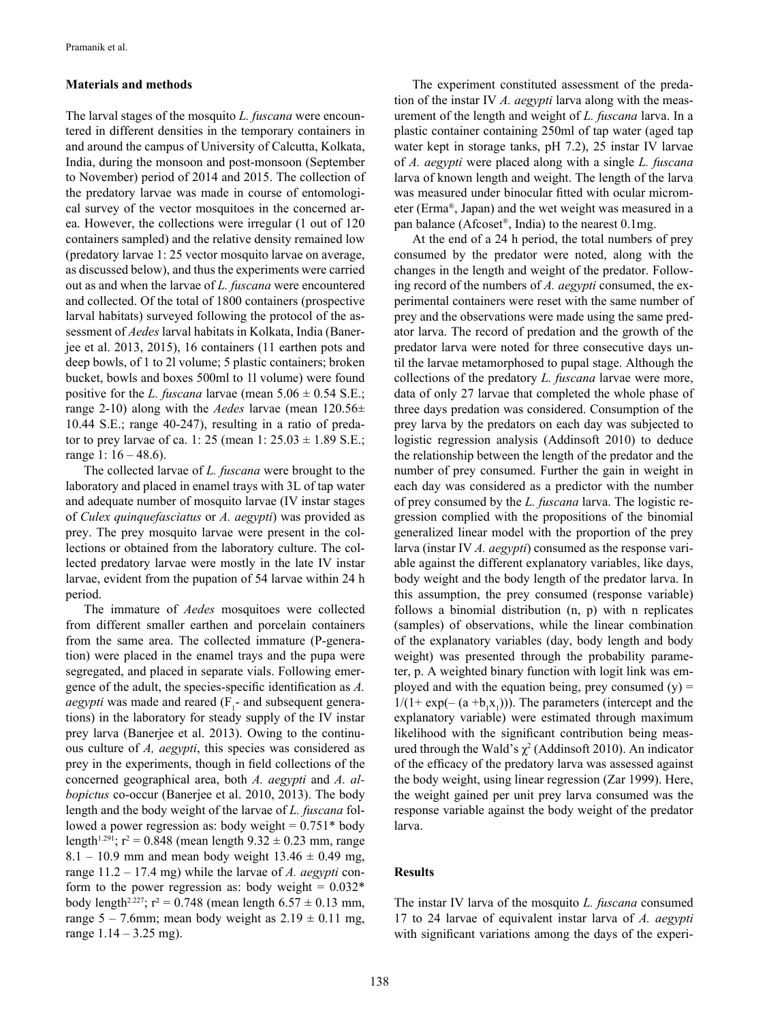## **Materials and methods**

The larval stages of the mosquito *L. fuscana* were encountered in different densities in the temporary containers in and around the campus of University of Calcutta, Kolkata, India, during the monsoon and post-monsoon (September to November) period of 2014 and 2015. The collection of the predatory larvae was made in course of entomological survey of the vector mosquitoes in the concerned area. However, the collections were irregular (1 out of 120 containers sampled) and the relative density remained low (predatory larvae 1: 25 vector mosquito larvae on average, as discussed below), and thus the experiments were carried out as and when the larvae of *L. fuscana* were encountered and collected. Of the total of 1800 containers (prospective larval habitats) surveyed following the protocol of the assessment of *Aedes* larval habitats in Kolkata, India (Banerjee et al. 2013, 2015), 16 containers (11 earthen pots and deep bowls, of 1 to 2l volume; 5 plastic containers; broken bucket, bowls and boxes 500ml to 1l volume) were found positive for the *L. fuscana* larvae (mean  $5.06 \pm 0.54$  S.E.; range 2-10) along with the *Aedes* larvae (mean 120.56± 10.44 S.E.; range 40-247), resulting in a ratio of predator to prey larvae of ca. 1: 25 (mean 1:  $25.03 \pm 1.89$  S.E.; range 1: 16 – 48.6).

 The collected larvae of *L. fuscana* were brought to the laboratory and placed in enamel trays with 3L of tap water and adequate number of mosquito larvae (IV instar stages of *Culex quinquefasciatus* or *A. aegypti*) was provided as prey. The prey mosquito larvae were present in the collections or obtained from the laboratory culture. The collected predatory larvae were mostly in the late IV instar larvae, evident from the pupation of 54 larvae within 24 h period.

 The immature of *Aedes* mosquitoes were collected from different smaller earthen and porcelain containers from the same area. The collected immature (P-generation) were placed in the enamel trays and the pupa were segregated, and placed in separate vials. Following emergence of the adult, the species-specific identification as *A. aegypti* was made and reared  $(F_1$ - and subsequent generations) in the laboratory for steady supply of the IV instar prey larva (Banerjee et al. 2013). Owing to the continuous culture of *A, aegypti*, this species was considered as prey in the experiments, though in field collections of the concerned geographical area, both *A. aegypti* and *A. albopictus* co-occur (Banerjee et al. 2010, 2013). The body length and the body weight of the larvae of *L. fuscana* followed a power regression as: body weight  $= 0.751*$  body length<sup>1.291</sup>;  $r^2 = 0.848$  (mean length  $9.32 \pm 0.23$  mm, range  $8.1 - 10.9$  mm and mean body weight  $13.46 \pm 0.49$  mg, range 11.2 – 17.4 mg) while the larvae of *A. aegypti* conform to the power regression as: body weight  $= 0.032*$ body length<sup>2.227</sup>;  $r^2 = 0.748$  (mean length  $6.57 \pm 0.13$  mm, range 5 – 7.6mm; mean body weight as  $2.19 \pm 0.11$  mg, range  $1.14 - 3.25$  mg).

 The experiment constituted assessment of the predation of the instar IV *A. aegypti* larva along with the measurement of the length and weight of *L. fuscana* larva. In a plastic container containing 250ml of tap water (aged tap water kept in storage tanks, pH 7.2), 25 instar IV larvae of *A. aegypti* were placed along with a single *L. fuscana*  larva of known length and weight. The length of the larva was measured under binocular fitted with ocular micrometer (Erma®, Japan) and the wet weight was measured in a pan balance (Afcoset®, India) to the nearest 0.1mg.

At the end of a 24 h period, the total numbers of prey consumed by the predator were noted, along with the changes in the length and weight of the predator. Following record of the numbers of *A. aegypti* consumed, the experimental containers were reset with the same number of prey and the observations were made using the same predator larva. The record of predation and the growth of the predator larva were noted for three consecutive days until the larvae metamorphosed to pupal stage. Although the collections of the predatory *L. fuscana* larvae were more, data of only 27 larvae that completed the whole phase of three days predation was considered. Consumption of the prey larva by the predators on each day was subjected to logistic regression analysis (Addinsoft 2010) to deduce the relationship between the length of the predator and the number of prey consumed. Further the gain in weight in each day was considered as a predictor with the number of prey consumed by the *L. fuscana* larva. The logistic regression complied with the propositions of the binomial generalized linear model with the proportion of the prey larva (instar IV *A. aegypti*) consumed as the response variable against the different explanatory variables, like days, body weight and the body length of the predator larva. In this assumption, the prey consumed (response variable) follows a binomial distribution (n, p) with n replicates (samples) of observations, while the linear combination of the explanatory variables (day, body length and body weight) was presented through the probability parameter, p. A weighted binary function with logit link was employed and with the equation being, prey consumed  $(y)$  =  $1/(1 + \exp(-(a + b_1 x_1)))$ . The parameters (intercept and the explanatory variable) were estimated through maximum likelihood with the significant contribution being measured through the Wald's  $\chi^2$  (Addinsoft 2010). An indicator of the efficacy of the predatory larva was assessed against the body weight, using linear regression (Zar 1999). Here, the weight gained per unit prey larva consumed was the response variable against the body weight of the predator larva.

#### **Results**

The instar IV larva of the mosquito *L. fuscana* consumed 17 to 24 larvae of equivalent instar larva of *A. aegypti*  with significant variations among the days of the experi-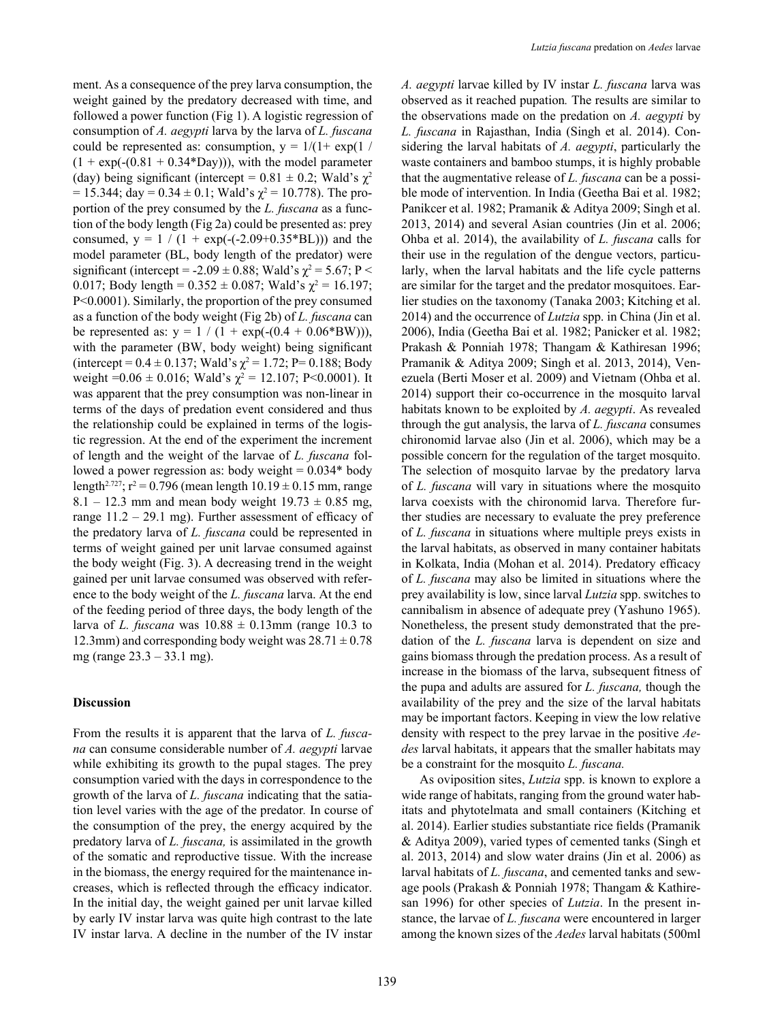ment. As a consequence of the prey larva consumption, the weight gained by the predatory decreased with time, and followed a power function (Fig 1). A logistic regression of consumption of *A. aegypti* larva by the larva of *L. fuscana*  could be represented as: consumption,  $y = 1/(1 + \exp(1))$  $(1 + \exp(-(0.81 + 0.34 \cdot Ba))$ , with the model parameter (day) being significant (intercept =  $0.81 \pm 0.2$ ; Wald's  $\chi^2$ = 15.344; day =  $0.34 \pm 0.1$ ; Wald's  $\chi^2$  = 10.778). The proportion of the prey consumed by the *L. fuscana* as a function of the body length (Fig 2a) could be presented as: prey consumed,  $y = 1 / (1 + \exp(-(2.09 + 0.35 \cdot \text{BL})))$  and the model parameter (BL, body length of the predator) were significant (intercept =  $-2.09 \pm 0.88$ ; Wald's  $\chi^2 = 5.67$ ; P < 0.017; Body length =  $0.352 \pm 0.087$ ; Wald's  $\chi^2 = 16.197$ ; P<0.0001). Similarly, the proportion of the prey consumed as a function of the body weight (Fig 2b) of *L. fuscana* can be represented as:  $y = 1 / (1 + \exp(-(0.4 + 0.06*BW)))$ , with the parameter (BW, body weight) being significant (intercept =  $0.4 \pm 0.137$ ; Wald's  $\chi^2 = 1.72$ ; P= 0.188; Body weight =  $0.06 \pm 0.016$ ; Wald's  $\chi^2 = 12.107$ ; P<0.0001). It was apparent that the prey consumption was non-linear in terms of the days of predation event considered and thus the relationship could be explained in terms of the logistic regression. At the end of the experiment the increment of length and the weight of the larvae of *L. fuscana* followed a power regression as: body weight  $= 0.034*$  body length<sup>2.727</sup>;  $r^2 = 0.796$  (mean length  $10.19 \pm 0.15$  mm, range 8.1 – 12.3 mm and mean body weight  $19.73 \pm 0.85$  mg, range  $11.2 - 29.1$  mg). Further assessment of efficacy of the predatory larva of *L. fuscana* could be represented in terms of weight gained per unit larvae consumed against the body weight (Fig. 3). A decreasing trend in the weight gained per unit larvae consumed was observed with reference to the body weight of the *L. fuscana* larva. At the end of the feeding period of three days, the body length of the larva of *L. fuscana* was  $10.88 \pm 0.13$  mm (range 10.3 to 12.3mm) and corresponding body weight was  $28.71 \pm 0.78$ mg (range 23.3 – 33.1 mg).

### **Discussion**

From the results it is apparent that the larva of *L. fuscana* can consume considerable number of *A. aegypti* larvae while exhibiting its growth to the pupal stages. The prey consumption varied with the days in correspondence to the growth of the larva of *L. fuscana* indicating that the satiation level varies with the age of the predator*.* In course of the consumption of the prey, the energy acquired by the predatory larva of *L. fuscana,* is assimilated in the growth of the somatic and reproductive tissue. With the increase in the biomass, the energy required for the maintenance increases, which is reflected through the efficacy indicator. In the initial day, the weight gained per unit larvae killed by early IV instar larva was quite high contrast to the late IV instar larva. A decline in the number of the IV instar

*A. aegypti* larvae killed by IV instar *L. fuscana* larva was observed as it reached pupation*.* The results are similar to the observations made on the predation on *A. aegypti* by *L. fuscana* in Rajasthan, India (Singh et al. 2014). Considering the larval habitats of *A. aegypti*, particularly the waste containers and bamboo stumps, it is highly probable that the augmentative release of *L. fuscana* can be a possible mode of intervention. In India (Geetha Bai et al. 1982; Panikcer et al. 1982; Pramanik & Aditya 2009; Singh et al. 2013, 2014) and several Asian countries (Jin et al. 2006; Ohba et al. 2014), the availability of *L. fuscana* calls for their use in the regulation of the dengue vectors, particularly, when the larval habitats and the life cycle patterns are similar for the target and the predator mosquitoes. Earlier studies on the taxonomy (Tanaka 2003; Kitching et al. 2014) and the occurrence of *Lutzia* spp. in China (Jin et al. 2006), India (Geetha Bai et al. 1982; Panicker et al. 1982; Prakash & Ponniah 1978; Thangam & Kathiresan 1996; Pramanik & Aditya 2009; Singh et al. 2013, 2014), Venezuela (Berti Moser et al. 2009) and Vietnam (Ohba et al. 2014) support their co-occurrence in the mosquito larval habitats known to be exploited by *A. aegypti*. As revealed through the gut analysis, the larva of *L. fuscana* consumes chironomid larvae also (Jin et al. 2006), which may be a possible concern for the regulation of the target mosquito. The selection of mosquito larvae by the predatory larva of *L. fuscana* will vary in situations where the mosquito larva coexists with the chironomid larva. Therefore further studies are necessary to evaluate the prey preference of *L. fuscana* in situations where multiple preys exists in the larval habitats, as observed in many container habitats in Kolkata, India (Mohan et al. 2014). Predatory efficacy of *L. fuscana* may also be limited in situations where the prey availability is low, since larval *Lutzia* spp. switches to cannibalism in absence of adequate prey (Yashuno 1965). Nonetheless, the present study demonstrated that the predation of the *L. fuscana* larva is dependent on size and gains biomass through the predation process. As a result of increase in the biomass of the larva, subsequent fitness of the pupa and adults are assured for *L. fuscana,* though the availability of the prey and the size of the larval habitats may be important factors. Keeping in view the low relative density with respect to the prey larvae in the positive *Aedes* larval habitats, it appears that the smaller habitats may be a constraint for the mosquito *L. fuscana.* 

As oviposition sites, *Lutzia* spp. is known to explore a wide range of habitats, ranging from the ground water habitats and phytotelmata and small containers (Kitching et al. 2014). Earlier studies substantiate rice fields (Pramanik & Aditya 2009), varied types of cemented tanks (Singh et al. 2013, 2014) and slow water drains (Jin et al. 2006) as larval habitats of *L. fuscana*, and cemented tanks and sewage pools (Prakash & Ponniah 1978; Thangam & Kathiresan 1996) for other species of *Lutzia*. In the present instance, the larvae of *L. fuscana* were encountered in larger among the known sizes of the *Aedes* larval habitats (500ml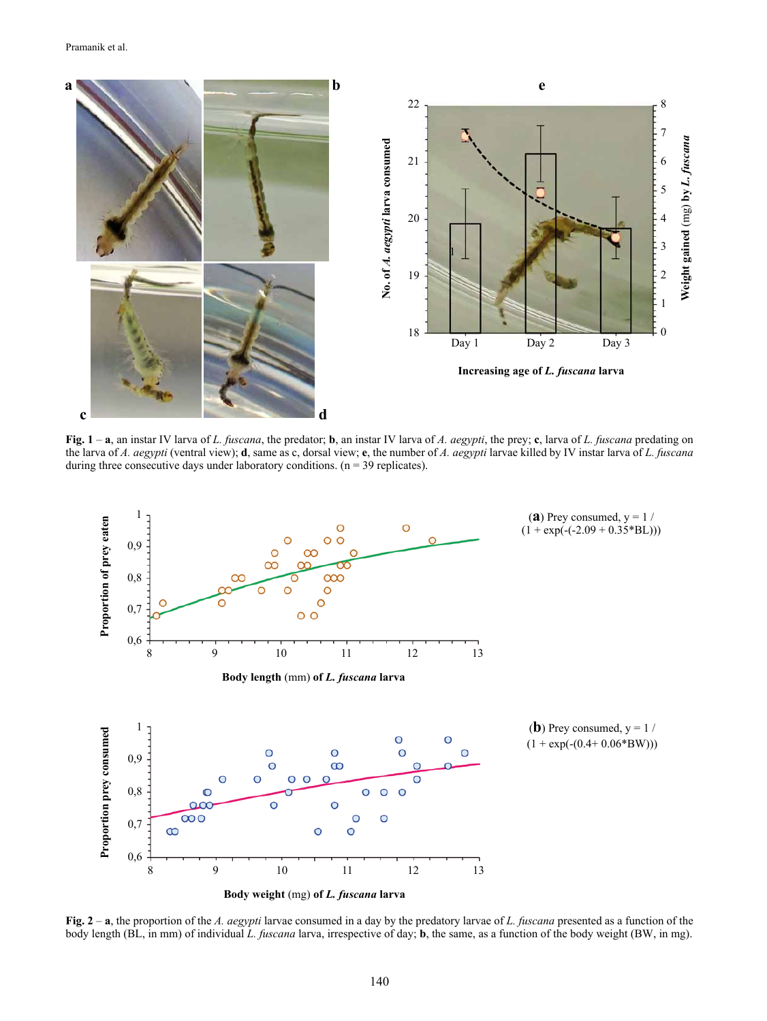

**Fig. 1** – **a**, an instar IV larva of *L. fuscana*, the predator; **b**, an instar IV larva of *A. aegypti*, the prey; **c**, larva of *L. fuscana* predating on the larva of *A. aegypti* (ventral view); **d**, same as c, dorsal view; **e**, the number of *A. aegypti* larvae killed by IV instar larva of *L. fuscana* during three consecutive days under laboratory conditions.  $(n = 39$  replicates).



**Fig. 2** – **a**, the proportion of the *A. aegypti* larvae consumed in a day by the predatory larvae of *L. fuscana* presented as a function of the body length (BL, in mm) of individual *L. fuscana* larva, irrespective of day; **b**, the same, as a function of the body weight (BW, in mg).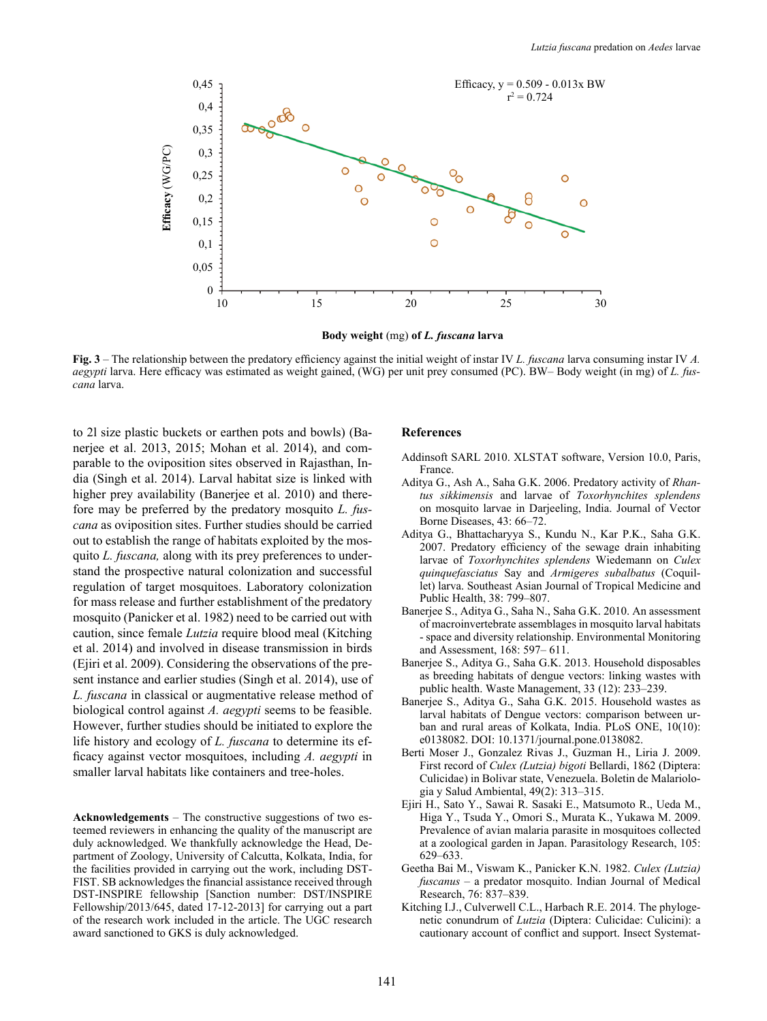

**Body weight** (mg) **of** *L. fuscana* **larva**

**Fig. 3** – The relationship between the predatory efficiency against the initial weight of instar IV *L. fuscana* larva consuming instar IV *A. aegypti* larva. Here efficacy was estimated as weight gained, (WG) per unit prey consumed (PC). BW– Body weight (in mg) of *L. fuscana* larva.

to 2l size plastic buckets or earthen pots and bowls) (Banerjee et al. 2013, 2015; Mohan et al. 2014), and comparable to the oviposition sites observed in Rajasthan, India (Singh et al. 2014). Larval habitat size is linked with higher prey availability (Banerjee et al. 2010) and therefore may be preferred by the predatory mosquito *L. fuscana* as oviposition sites. Further studies should be carried out to establish the range of habitats exploited by the mosquito *L. fuscana,* along with its prey preferences to understand the prospective natural colonization and successful regulation of target mosquitoes. Laboratory colonization for mass release and further establishment of the predatory mosquito (Panicker et al. 1982) need to be carried out with caution, since female *Lutzia* require blood meal (Kitching et al. 2014) and involved in disease transmission in birds (Ejiri et al. 2009). Considering the observations of the present instance and earlier studies (Singh et al. 2014), use of *L. fuscana* in classical or augmentative release method of biological control against *A. aegypti* seems to be feasible. However, further studies should be initiated to explore the life history and ecology of *L. fuscana* to determine its efficacy against vector mosquitoes, including *A. aegypti* in smaller larval habitats like containers and tree-holes.

**Acknowledgements** – The constructive suggestions of two esteemed reviewers in enhancing the quality of the manuscript are duly acknowledged. We thankfully acknowledge the Head, Department of Zoology, University of Calcutta, Kolkata, India, for the facilities provided in carrying out the work, including DST-FIST. SB acknowledges the financial assistance received through DST-INSPIRE fellowship [Sanction number: DST/INSPIRE Fellowship/2013/645, dated 17-12-2013] for carrying out a part of the research work included in the article. The UGC research award sanctioned to GKS is duly acknowledged.

#### **References**

- Addinsoft SARL 2010. XLSTAT software, Version 10.0, Paris, France.
- Aditya G., Ash A., Saha G.K. 2006. Predatory activity of *Rhantus sikkimensis* and larvae of *Toxorhynchites splendens* on mosquito larvae in Darjeeling, India. Journal of Vector Borne Diseases, 43: 66–72.
- Aditya G., Bhattacharyya S., Kundu N., Kar P.K., Saha G.K. 2007. Predatory efficiency of the sewage drain inhabiting larvae of *Toxorhynchites splendens* Wiedemann on *Culex quinquefasciatus* Say and *Armigeres subalbatus* (Coquillet) larva. Southeast Asian Journal of Tropical Medicine and Public Health, 38: 799–807.
- Banerjee S., Aditya G., Saha N., Saha G.K. 2010. An assessment of macroinvertebrate assemblages in mosquito larval habitats - space and diversity relationship. Environmental Monitoring and Assessment, 168: 597– 611.
- Banerjee S., Aditya G., Saha G.K. 2013. Household disposables as breeding habitats of dengue vectors: linking wastes with public health. Waste Management, 33 (12): 233–239.
- Banerjee S., Aditya G., Saha G.K. 2015. Household wastes as larval habitats of Dengue vectors: comparison between urban and rural areas of Kolkata, India. PLoS ONE, 10(10): e0138082. DOI: 10.1371/journal.pone.0138082.
- Berti Moser J., Gonzalez Rivas J., Guzman H., Liria J. 2009. First record of *Culex (Lutzia) bigoti* Bellardi, 1862 (Diptera: Culicidae) in Bolivar state, Venezuela. Boletin de Malariologia y Salud Ambiental, 49(2): 313–315.
- Ejiri H., Sato Y., Sawai R. Sasaki E., Matsumoto R., Ueda M., Higa Y., Tsuda Y., Omori S., Murata K., Yukawa M. 2009. Prevalence of avian malaria parasite in mosquitoes collected at a zoological garden in Japan. Parasitology Research, 105: 629–633.
- Geetha Bai M., Viswam K., Panicker K.N. 1982. *Culex (Lutzia) fuscanus* – a predator mosquito. Indian Journal of Medical Research, 76: 837–839.
- Kitching I.J., Culverwell C.L., Harbach R.E. 2014. The phylogenetic conundrum of *Lutzia* (Diptera: Culicidae: Culicini): a cautionary account of conflict and support. Insect Systemat-